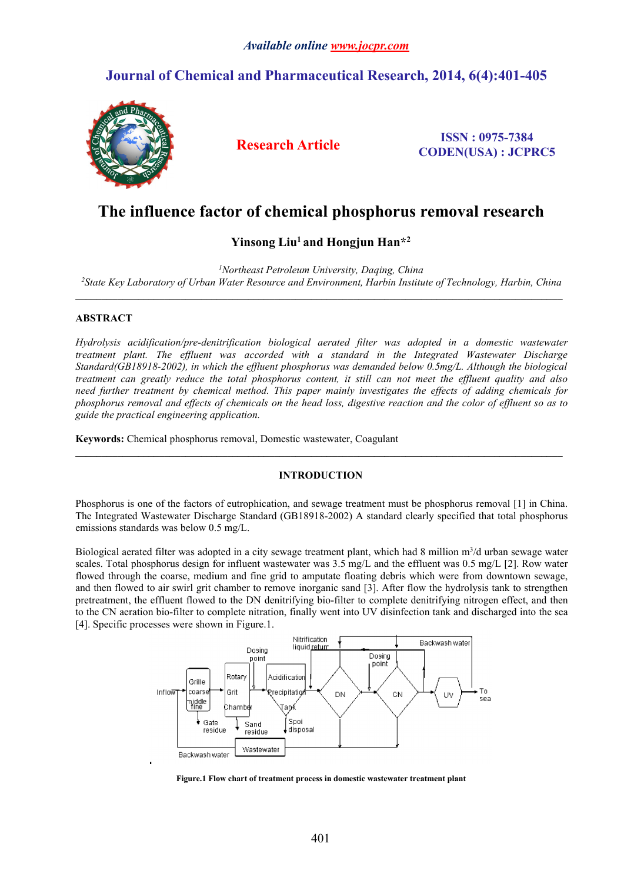## *Available online [www.jocpr.com](http://www.jocpr.com)*

## **Journal of Chemical and Pharmaceutical Research, 2014, 6(4):401-405**



**Research Article ISSN : 0975-7384 CODEN(USA) : JCPRC5**

# **The influence factor of chemical phosphorus removal research**

## **Yinsong Liu<sup>1</sup> and Hongjun Han\*<sup>2</sup>**

*<sup>1</sup>Northeast Petroleum University, Daqing, China <sup>2</sup>State Key Laboratory of Urban Water Resource and Environment, Harbin Institute of Technology, Harbin, China*

### **ABSTRACT**

*Hydrolysis acidification/pre-denitrification biological aerated filter was adopted in a domestic wastewater treatment plant. The effluent was accorded with a standard in the Integrated Wastewater Discharge Standard(GB18918-2002), in which the effluent phosphorus was demanded below 0.5mg/L. Although the biological* treatment can greatly reduce the total phosphorus content, it still can not meet the effluent quality and also *need further treatment by chemical method. This paper mainly investigates the effects of adding chemicals for* phosphorus removal and effects of chemicals on the head loss, digestive reaction and the color of effluent so as to *guide the practical engineering application.*

**Keywords:** Chemical phosphorus removal, Domestic wastewater, Coagulant

### **INTRODUCTION**

 $\_$  , and the state of the state of the state of the state of the state of the state of the state of the state of the state of the state of the state of the state of the state of the state of the state of the state of the

Phosphorus is one of the factors of eutrophication, and sewage treatment must be phosphorus removal [1] in China. The Integrated Wastewater Discharge Standard (GB18918-2002) A standard clearly specified that total phosphorus emissions standards was below 0.5 mg/L.

Biological aerated filter was adopted in a city sewage treatment plant, which had 8 million m<sup>3</sup>/d urban sewage water scales. Total phosphorus design for influent wastewater was  $3.5 \text{ mg/L}$  and the effluent was  $0.5 \text{ mg/L}$  [2]. Row water flowed through the coarse, medium and fine grid to amputate floating debris which were from downtown sewage, and then flowed to air swirl grit chamber to remove inorganic sand [3]. After flow the hydrolysis tank to strengthen pretreatment, the effluent flowed to the DN denitrifying bio-filter to complete denitrifying nitrogen effect, and then to the CN aeration bio-filter to complete nitration, finally went into UV disinfection tank and discharged into the sea [4]. Specific processes were shown in Figure.1.



**Figure.1 Flow chart of treatment process in domestic wastewater treatment plant**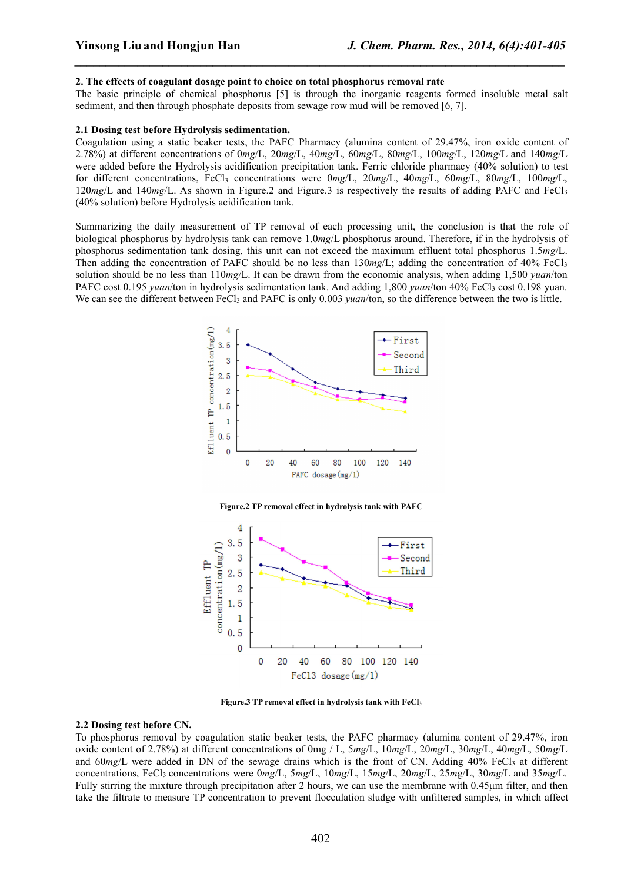#### **2. The effects ofcoagulant dosage point to choice on total phosphorus removal rate**

The basic principle of chemical phosphorus [5] is through the inorganic reagents formed insoluble metal salt sediment, and then through phosphate deposits from sewage row mud will be removed [6, 7].

*\_\_\_\_\_\_\_\_\_\_\_\_\_\_\_\_\_\_\_\_\_\_\_\_\_\_\_\_\_\_\_\_\_\_\_\_\_\_\_\_\_\_\_\_\_\_\_\_\_\_\_\_\_\_\_\_\_\_\_\_\_\_\_\_\_\_\_\_\_\_\_\_\_\_\_\_\_\_*

#### **2.1 Dosing test before Hydrolysis sedimentation.**

Coagulation using a static beaker tests, the PAFC Pharmacy (alumina content of 29.47%, iron oxide content of 2.78%) atdifferent concentrations of 0*mg*/L, 20*mg*/L, 40*mg*/L, 60*mg*/L, 80*mg*/L, 100*mg*/L, 120*mg*/L and 140*mg*/L were added before the Hydrolysis acidification precipitation tank. Ferric chloride pharmacy (40% solution) to test for different concentrations, FeCl<sup>3</sup> concentrations were 0*mg*/L, 20*mg*/L, 40*mg*/L, 60*mg*/L, 80*mg*/L, 100*mg*/L, 120*mg*/L and 140*mg*/L. As shown in Figure.2 and Figure.3 is respectively the results of adding PAFC and FeCl<sup>3</sup> (40% solution) before Hydrolysis acidification tank.

Summarizing the daily measurement of TP removal of each processing unit, the conclusion is that the role of biological phosphorus by hydrolysis tank can remove 1.0*mg*/L phosphorus around. Therefore, if in the hydrolysis of phosphorus sedimentation tank dosing, this unit can not exceed the maximum effluent total phosphorus 1.5*mg*/L. Then adding the concentration of PAFC should be no less than 130*mg*/L; adding the concentration of 40% FeCl<sup>3</sup> solution should be no less than 110*mg*/L. It can be drawn from the economic analysis, when adding 1,500 *yuan*/ton PAFC cost 0.195 *yuan*/ton in hydrolysis sedimentation tank. And adding 1,800 *yuan*/ton 40% FeCl<sub>3</sub> cost 0.198 yuan. We can see the different between FeCl<sub>3</sub> and PAFC is only 0.003 *yuan*/ton, so the difference between the two is little.



**Figure.2 TP removal effect in hydrolysis tank with PAFC**



**Figure.3 TP removal effect in hydrolysis tank with FeCl<sup>3</sup>**

#### **2.2 Dosing test before CN.**

To phosphorus removal by coagulation static beaker tests, the PAFC pharmacy (alumina content of 29.47%, iron oxide content of 2.78%) atdifferent concentrations of 0mg / L, 5*mg*/L, 10*mg*/L, 20*mg*/L, 30*mg*/L, 40*mg*/L, 50*mg*/L and 60mg/L were added in DN of the sewage drains which is the front of CN. Adding 40% FeCl<sub>3</sub> at different concentrations, FeCl<sup>3</sup> concentrations were 0*mg*/L, 5*mg*/L, 10*mg*/L, 15*mg*/L, 20*mg*/L, 25*m*g/L, 30*mg*/L and 35*mg*/L. Fully stirring the mixture through precipitation after 2 hours, we can use the membrane with 0.45μm filter, and then take the filtrate to measure TP concentration to prevent flocculation sludge with unfiltered samples, in which affect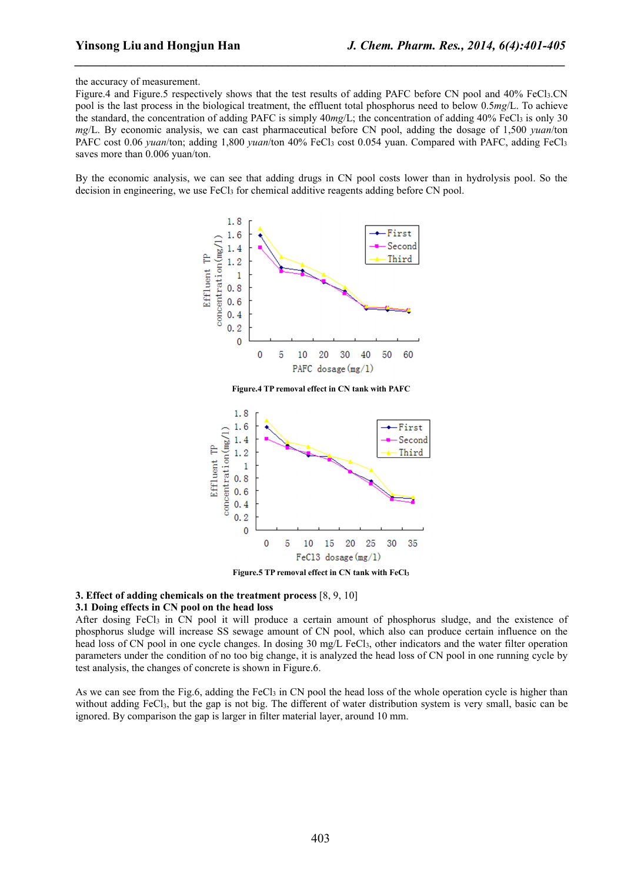#### the accuracy of measurement.

Figure.4 and Figure.5 respectively shows that the test results of adding PAFC before CN pool and 40% FeCl3.CN pool is the last process in the biological treatment, the effluent total phosphorus need to below 0.5*mg*/L. To achieve the standard, the concentration of adding PAFC is simply  $40mg/L$ ; the concentration of adding  $40\%$  FeCl<sub>3</sub> is only 30 *mg*/L. By economic analysis, we can cast pharmaceutical before CN pool, adding the dosage of 1,500 *yuan*/ton PAFC cost 0.06 *yuan*/ton; adding 1,800 *yuan*/ton 40% FeCl<sub>3</sub> cost 0.054 yuan. Compared with PAFC, adding FeCl<sub>3</sub> saves more than 0.006 yuan/ton.

*\_\_\_\_\_\_\_\_\_\_\_\_\_\_\_\_\_\_\_\_\_\_\_\_\_\_\_\_\_\_\_\_\_\_\_\_\_\_\_\_\_\_\_\_\_\_\_\_\_\_\_\_\_\_\_\_\_\_\_\_\_\_\_\_\_\_\_\_\_\_\_\_\_\_\_\_\_\_*

By the economic analysis, we can see that adding drugs in CN pool costs lower than in hydrolysis pool. So the decision in engineering, we use FeCl<sub>3</sub> for chemical additive reagents adding before CN pool.





**Figure.5 TP removal effect in CN tank with FeCl<sup>3</sup>**

## **3. Effect of adding chemicals on the treatment process** [8, 9, 10]

#### **3.1 Doing effects in CN pool on the head loss**

After dosing FeCl<sub>3</sub> in CN pool it will produce a certain amount of phosphorus sludge, and the existence of phosphorus sludge will increase SS sewage amount of CN pool, which also can produce certain influence on the head loss of CN pool in one cycle changes. In dosing 30 mg/L FeCl<sub>3</sub>, other indicators and the water filter operation parameters under the condition of no too big change, itis analyzed the head loss of CN pool in one running cycle by test analysis, the changes of concrete is shown in Figure.6.

As we can see from the Fig.6, adding the FeCl<sub>3</sub> in CN pool the head loss of the whole operation cycle is higher than without adding FeCl<sub>3</sub>, but the gap is not big. The different of water distribution system is very small, basic can be ignored. By comparison the gap is larger in filter material layer, around 10 mm.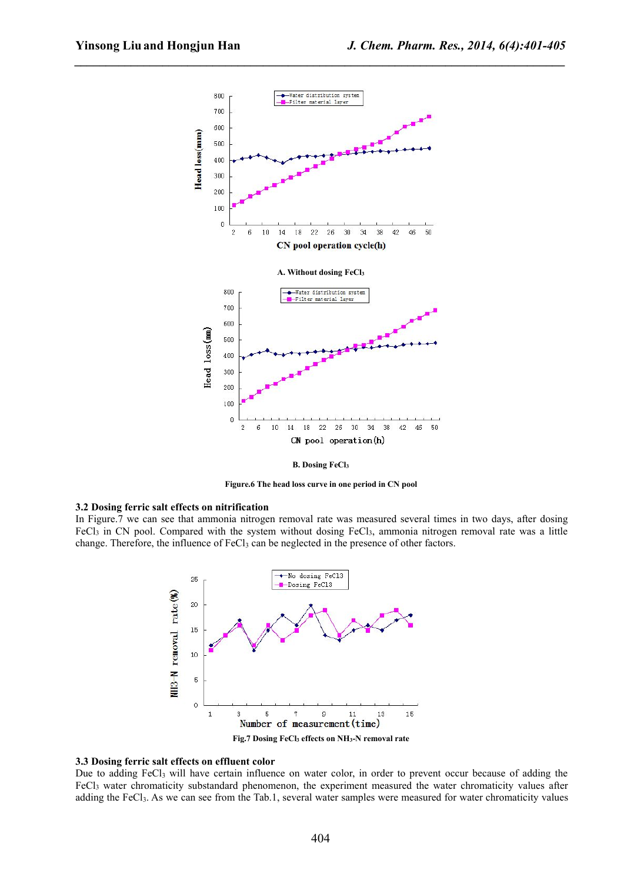*\_\_\_\_\_\_\_\_\_\_\_\_\_\_\_\_\_\_\_\_\_\_\_\_\_\_\_\_\_\_\_\_\_\_\_\_\_\_\_\_\_\_\_\_\_\_\_\_\_\_\_\_\_\_\_\_\_\_\_\_\_\_\_\_\_\_\_\_\_\_\_\_\_\_\_\_\_\_*



**B. Dosing FeCl<sup>3</sup>**

**Figure.6 The head loss curve in one period in CN pool**

#### **3.2 Dosing ferric salt effects on nitrification**

In Figure.7 we can see that ammonia nitrogen removal rate was measured several times in two days, after dosing FeCl<sub>3</sub> in CN pool. Compared with the system without dosing FeCl<sub>3</sub>, ammonia nitrogen removal rate was a little change. Therefore, the influence of FeCl<sub>3</sub> can be neglected in the presence of other factors.



## **3.3 Dosing ferric salt effects on effluent color**

Due to adding  $FeCl<sub>3</sub>$  will have certain influence on water color, in order to prevent occur because of adding the FeCl<sup>3</sup> water chromaticity substandard phenomenon, the experiment measured the water chromaticity values after adding the FeCl3. As we can see from the Tab.1, several water samples were measured for water chromaticity values